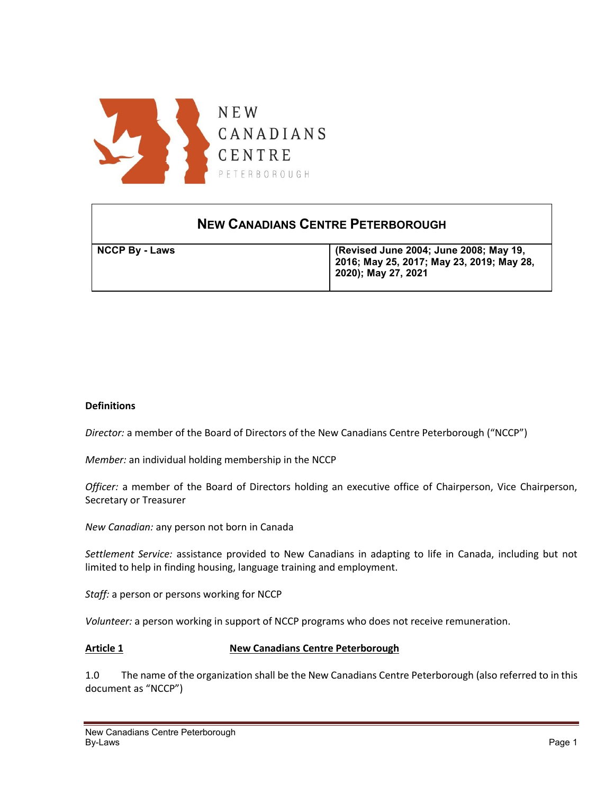

# **NEW CANADIANS CENTRE PETERBOROUGH**

| <b>NCCP By - Laws</b> | (Revised June 2004; June 2008; May 19,<br>  2016; May 25, 2017; May 23, 2019; May 28,<br>2020); May 27, 2021 |
|-----------------------|--------------------------------------------------------------------------------------------------------------|
|                       |                                                                                                              |

#### **Definitions**

*Director:* a member of the Board of Directors of the New Canadians Centre Peterborough ("NCCP")

*Member:* an individual holding membership in the NCCP

*Officer:* a member of the Board of Directors holding an executive office of Chairperson, Vice Chairperson, Secretary or Treasurer

*New Canadian:* any person not born in Canada

*Settlement Service:* assistance provided to New Canadians in adapting to life in Canada, including but not limited to help in finding housing, language training and employment.

*Staff:* a person or persons working for NCCP

*Volunteer:* a person working in support of NCCP programs who does not receive remuneration.

#### **Article 1** New Canadians Centre Peterborough

1.0 The name of the organization shall be the New Canadians Centre Peterborough (also referred to in this document as "NCCP")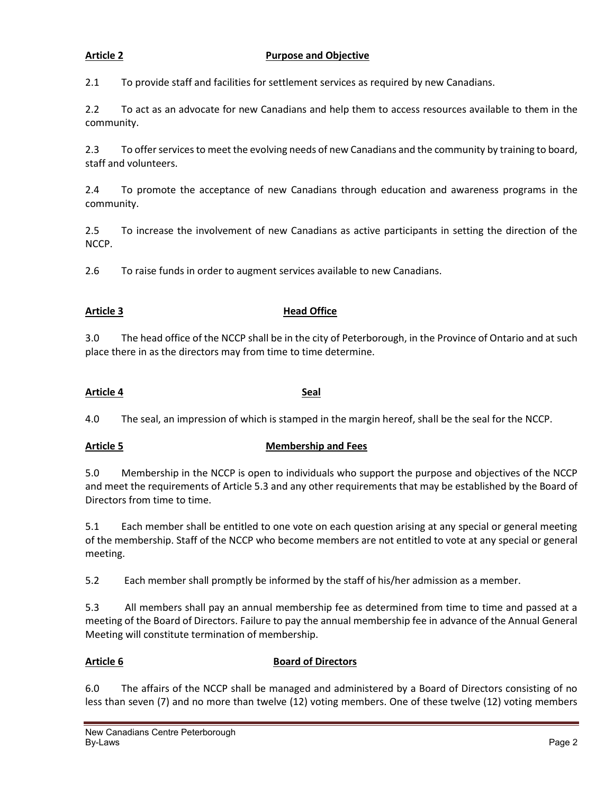#### **Article 2 Purpose and Objective**

2.1 To provide staff and facilities for settlement services as required by new Canadians.

2.2 To act as an advocate for new Canadians and help them to access resources available to them in the community.

2.3 To offer services to meet the evolving needs of new Canadians and the community by training to board, staff and volunteers.

2.4 To promote the acceptance of new Canadians through education and awareness programs in the community.

2.5 To increase the involvement of new Canadians as active participants in setting the direction of the NCCP.

2.6 To raise funds in order to augment services available to new Canadians.

### Article 3 **Head Office**

3.0 The head office of the NCCP shall be in the city of Peterborough, in the Province of Ontario and at such place there in as the directors may from time to time determine.

#### **Article 4 Seal**

4.0 The seal, an impression of which is stamped in the margin hereof, shall be the seal for the NCCP.

### **Article 5 Membership and Fees**

5.0 Membership in the NCCP is open to individuals who support the purpose and objectives of the NCCP and meet the requirements of Article 5.3 and any other requirements that may be established by the Board of Directors from time to time.

5.1 Each member shall be entitled to one vote on each question arising at any special or general meeting of the membership. Staff of the NCCP who become members are not entitled to vote at any special or general meeting.

5.2 Each member shall promptly be informed by the staff of his/her admission as a member.

5.3 All members shall pay an annual membership fee as determined from time to time and passed at a meeting of the Board of Directors. Failure to pay the annual membership fee in advance of the Annual General Meeting will constitute termination of membership.

#### Article 6 **Board of Directors**

6.0 The affairs of the NCCP shall be managed and administered by a Board of Directors consisting of no less than seven (7) and no more than twelve (12) voting members. One of these twelve (12) voting members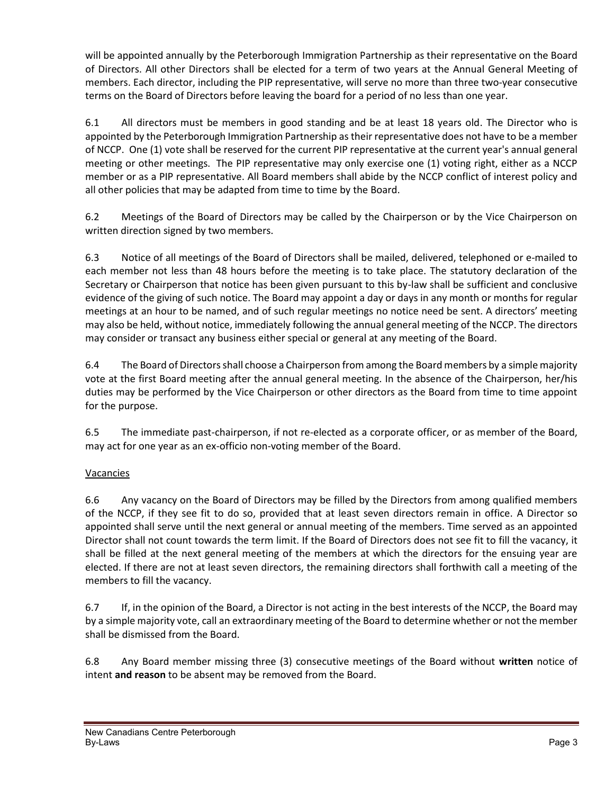will be appointed annually by the Peterborough Immigration Partnership as their representative on the Board of Directors. All other Directors shall be elected for a term of two years at the Annual General Meeting of members. Each director, including the PIP representative, will serve no more than three two-year consecutive terms on the Board of Directors before leaving the board for a period of no less than one year.

6.1 All directors must be members in good standing and be at least 18 years old. The Director who is appointed by the Peterborough Immigration Partnership as their representative does not have to be a member of NCCP. One (1) vote shall be reserved for the current PIP representative at the current year's annual general meeting or other meetings. The PIP representative may only exercise one (1) voting right, either as a NCCP member or as a PIP representative. All Board members shall abide by the NCCP conflict of interest policy and all other policies that may be adapted from time to time by the Board.

6.2 Meetings of the Board of Directors may be called by the Chairperson or by the Vice Chairperson on written direction signed by two members.

6.3 Notice of all meetings of the Board of Directors shall be mailed, delivered, telephoned or e-mailed to each member not less than 48 hours before the meeting is to take place. The statutory declaration of the Secretary or Chairperson that notice has been given pursuant to this by-law shall be sufficient and conclusive evidence of the giving of such notice. The Board may appoint a day or days in any month or months for regular meetings at an hour to be named, and of such regular meetings no notice need be sent. A directors' meeting may also be held, without notice, immediately following the annual general meeting of the NCCP. The directors may consider or transact any business either special or general at any meeting of the Board.

6.4 The Board of Directors shall choose a Chairperson from among the Board members by a simple majority vote at the first Board meeting after the annual general meeting. In the absence of the Chairperson, her/his duties may be performed by the Vice Chairperson or other directors as the Board from time to time appoint for the purpose.

6.5 The immediate past-chairperson, if not re-elected as a corporate officer, or as member of the Board, may act for one year as an ex-officio non-voting member of the Board.

# Vacancies

6.6 Any vacancy on the Board of Directors may be filled by the Directors from among qualified members of the NCCP, if they see fit to do so, provided that at least seven directors remain in office. A Director so appointed shall serve until the next general or annual meeting of the members. Time served as an appointed Director shall not count towards the term limit. If the Board of Directors does not see fit to fill the vacancy, it shall be filled at the next general meeting of the members at which the directors for the ensuing year are elected. If there are not at least seven directors, the remaining directors shall forthwith call a meeting of the members to fill the vacancy.

6.7 If, in the opinion of the Board, a Director is not acting in the best interests of the NCCP, the Board may by a simple majority vote, call an extraordinary meeting of the Board to determine whether or not the member shall be dismissed from the Board.

6.8 Any Board member missing three (3) consecutive meetings of the Board without **written** notice of intent **and reason** to be absent may be removed from the Board.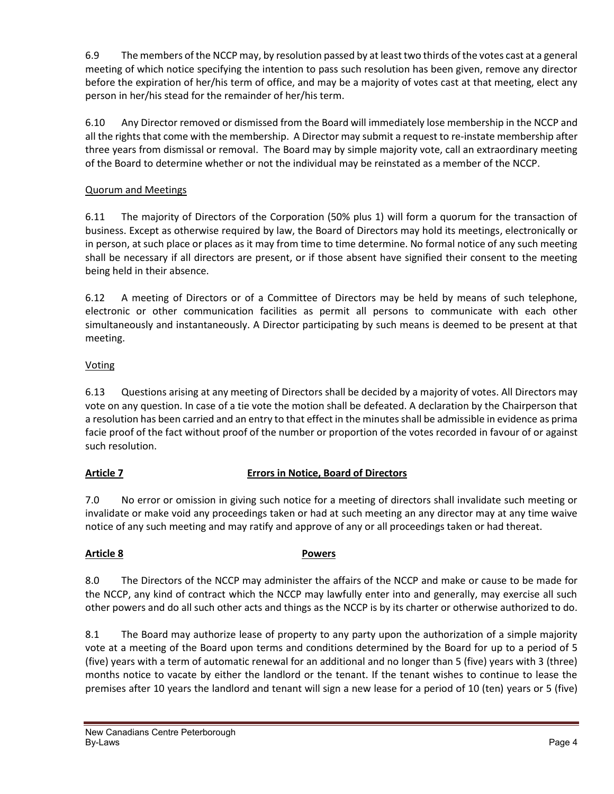6.9 The members of the NCCP may, by resolution passed by at least two thirds of the votes cast at a general meeting of which notice specifying the intention to pass such resolution has been given, remove any director before the expiration of her/his term of office, and may be a majority of votes cast at that meeting, elect any person in her/his stead for the remainder of her/his term.

6.10 Any Director removed or dismissed from the Board will immediately lose membership in the NCCP and all the rights that come with the membership. A Director may submit a request to re-instate membership after three years from dismissal or removal. The Board may by simple majority vote, call an extraordinary meeting of the Board to determine whether or not the individual may be reinstated as a member of the NCCP.

# Quorum and Meetings

6.11 The majority of Directors of the Corporation (50% plus 1) will form a quorum for the transaction of business. Except as otherwise required by law, the Board of Directors may hold its meetings, electronically or in person, at such place or places as it may from time to time determine. No formal notice of any such meeting shall be necessary if all directors are present, or if those absent have signified their consent to the meeting being held in their absence.

6.12 A meeting of Directors or of a Committee of Directors may be held by means of such telephone, electronic or other communication facilities as permit all persons to communicate with each other simultaneously and instantaneously. A Director participating by such means is deemed to be present at that meeting.

# Voting

6.13 Questions arising at any meeting of Directors shall be decided by a majority of votes. All Directors may vote on any question. In case of a tie vote the motion shall be defeated. A declaration by the Chairperson that a resolution has been carried and an entry to that effect in the minutes shall be admissible in evidence as prima facie proof of the fact without proof of the number or proportion of the votes recorded in favour of or against such resolution.

# **Article 7 Errors in Notice, Board of Directors**

7.0 No error or omission in giving such notice for a meeting of directors shall invalidate such meeting or invalidate or make void any proceedings taken or had at such meeting an any director may at any time waive notice of any such meeting and may ratify and approve of any or all proceedings taken or had thereat.

### **Article 8 Powers**

8.0 The Directors of the NCCP may administer the affairs of the NCCP and make or cause to be made for the NCCP, any kind of contract which the NCCP may lawfully enter into and generally, may exercise all such other powers and do all such other acts and things as the NCCP is by its charter or otherwise authorized to do.

8.1 The Board may authorize lease of property to any party upon the authorization of a simple majority vote at a meeting of the Board upon terms and conditions determined by the Board for up to a period of 5 (five) years with a term of automatic renewal for an additional and no longer than 5 (five) years with 3 (three) months notice to vacate by either the landlord or the tenant. If the tenant wishes to continue to lease the premises after 10 years the landlord and tenant will sign a new lease for a period of 10 (ten) years or 5 (five)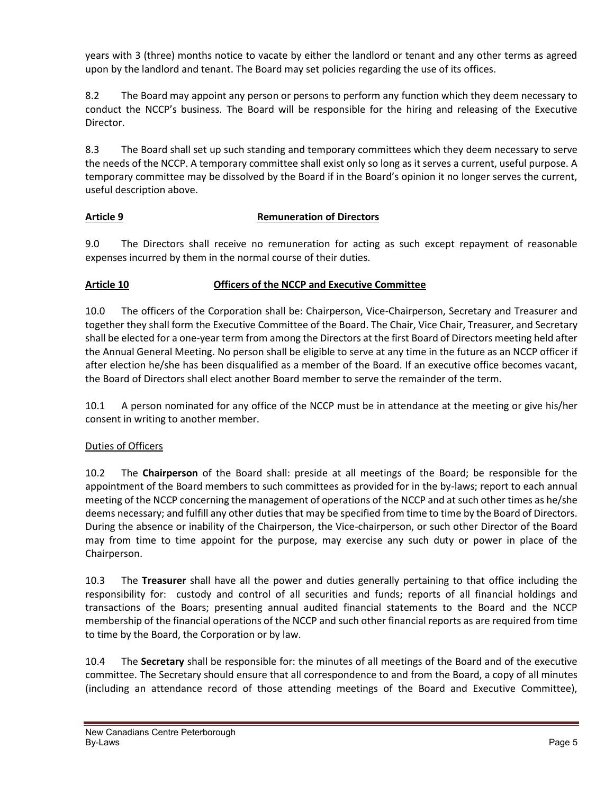years with 3 (three) months notice to vacate by either the landlord or tenant and any other terms as agreed upon by the landlord and tenant. The Board may set policies regarding the use of its offices.

8.2 The Board may appoint any person or persons to perform any function which they deem necessary to conduct the NCCP's business. The Board will be responsible for the hiring and releasing of the Executive Director.

8.3 The Board shall set up such standing and temporary committees which they deem necessary to serve the needs of the NCCP. A temporary committee shall exist only so long as it serves a current, useful purpose. A temporary committee may be dissolved by the Board if in the Board's opinion it no longer serves the current, useful description above.

# **Article 9 Remuneration of Directors**

9.0 The Directors shall receive no remuneration for acting as such except repayment of reasonable expenses incurred by them in the normal course of their duties.

# **Article 10 Officers of the NCCP and Executive Committee**

10.0 The officers of the Corporation shall be: Chairperson, Vice-Chairperson, Secretary and Treasurer and together they shall form the Executive Committee of the Board. The Chair, Vice Chair, Treasurer, and Secretary shall be elected for a one-year term from among the Directors at the first Board of Directors meeting held after the Annual General Meeting. No person shall be eligible to serve at any time in the future as an NCCP officer if after election he/she has been disqualified as a member of the Board. If an executive office becomes vacant, the Board of Directors shall elect another Board member to serve the remainder of the term.

10.1 A person nominated for any office of the NCCP must be in attendance at the meeting or give his/her consent in writing to another member.

### Duties of Officers

10.2 The **Chairperson** of the Board shall: preside at all meetings of the Board; be responsible for the appointment of the Board members to such committees as provided for in the by-laws; report to each annual meeting of the NCCP concerning the management of operations of the NCCP and at such other times as he/she deems necessary; and fulfill any other duties that may be specified from time to time by the Board of Directors. During the absence or inability of the Chairperson, the Vice-chairperson, or such other Director of the Board may from time to time appoint for the purpose, may exercise any such duty or power in place of the Chairperson.

10.3 The **Treasurer** shall have all the power and duties generally pertaining to that office including the responsibility for: custody and control of all securities and funds; reports of all financial holdings and transactions of the Boars; presenting annual audited financial statements to the Board and the NCCP membership of the financial operations of the NCCP and such other financial reports as are required from time to time by the Board, the Corporation or by law.

10.4 The **Secretary** shall be responsible for: the minutes of all meetings of the Board and of the executive committee. The Secretary should ensure that all correspondence to and from the Board, a copy of all minutes (including an attendance record of those attending meetings of the Board and Executive Committee),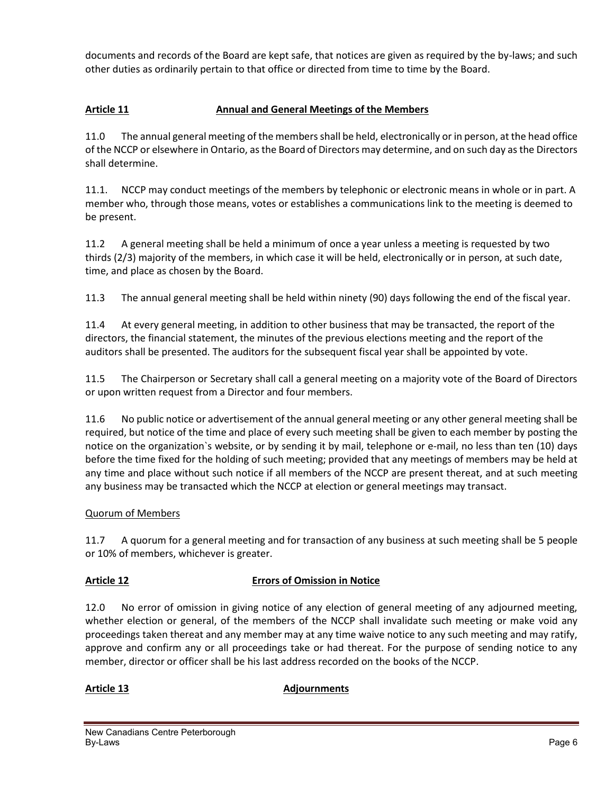documents and records of the Board are kept safe, that notices are given as required by the by-laws; and such other duties as ordinarily pertain to that office or directed from time to time by the Board.

# Article 11 **Annual and General Meetings of the Members**

11.0 The annual general meeting of the members shall be held, electronically or in person, at the head office of the NCCP or elsewhere in Ontario, as the Board of Directors may determine, and on such day as the Directors shall determine.

11.1. NCCP may conduct meetings of the members by telephonic or electronic means in whole or in part. A member who, through those means, votes or establishes a communications link to the meeting is deemed to be present.

11.2 A general meeting shall be held a minimum of once a year unless a meeting is requested by two thirds (2/3) majority of the members, in which case it will be held, electronically or in person, at such date, time, and place as chosen by the Board.

11.3 The annual general meeting shall be held within ninety (90) days following the end of the fiscal year.

11.4 At every general meeting, in addition to other business that may be transacted, the report of the directors, the financial statement, the minutes of the previous elections meeting and the report of the auditors shall be presented. The auditors for the subsequent fiscal year shall be appointed by vote.

11.5 The Chairperson or Secretary shall call a general meeting on a majority vote of the Board of Directors or upon written request from a Director and four members.

11.6 No public notice or advertisement of the annual general meeting or any other general meeting shall be required, but notice of the time and place of every such meeting shall be given to each member by posting the notice on the organization`s website, or by sending it by mail, telephone or e-mail, no less than ten (10) days before the time fixed for the holding of such meeting; provided that any meetings of members may be held at any time and place without such notice if all members of the NCCP are present thereat, and at such meeting any business may be transacted which the NCCP at election or general meetings may transact.

### Quorum of Members

11.7 A quorum for a general meeting and for transaction of any business at such meeting shall be 5 people or 10% of members, whichever is greater.

### **Article 12 Errors of Omission in Notice**

12.0 No error of omission in giving notice of any election of general meeting of any adjourned meeting, whether election or general, of the members of the NCCP shall invalidate such meeting or make void any proceedings taken thereat and any member may at any time waive notice to any such meeting and may ratify, approve and confirm any or all proceedings take or had thereat. For the purpose of sending notice to any member, director or officer shall be his last address recorded on the books of the NCCP.

### Article 13 **Adjournments**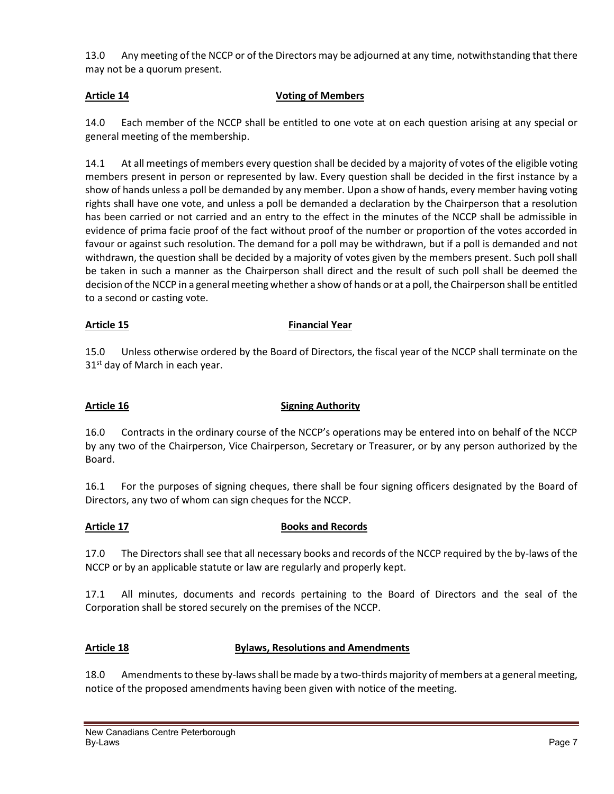13.0 Any meeting of the NCCP or of the Directors may be adjourned at any time, notwithstanding that there may not be a quorum present.

### **Article 14 Voting of Members**

14.0 Each member of the NCCP shall be entitled to one vote at on each question arising at any special or general meeting of the membership.

14.1 At all meetings of members every question shall be decided by a majority of votes of the eligible voting members present in person or represented by law. Every question shall be decided in the first instance by a show of hands unless a poll be demanded by any member. Upon a show of hands, every member having voting rights shall have one vote, and unless a poll be demanded a declaration by the Chairperson that a resolution has been carried or not carried and an entry to the effect in the minutes of the NCCP shall be admissible in evidence of prima facie proof of the fact without proof of the number or proportion of the votes accorded in favour or against such resolution. The demand for a poll may be withdrawn, but if a poll is demanded and not withdrawn, the question shall be decided by a majority of votes given by the members present. Such poll shall be taken in such a manner as the Chairperson shall direct and the result of such poll shall be deemed the decision of the NCCP in a general meeting whether a show of hands or at a poll, the Chairperson shall be entitled to a second or casting vote.

### Article 15 **Financial Year**

15.0 Unless otherwise ordered by the Board of Directors, the fiscal year of the NCCP shall terminate on the  $31<sup>st</sup>$  day of March in each year.

### Article 16 **Signing Authority**

16.0 Contracts in the ordinary course of the NCCP's operations may be entered into on behalf of the NCCP by any two of the Chairperson, Vice Chairperson, Secretary or Treasurer, or by any person authorized by the Board.

16.1 For the purposes of signing cheques, there shall be four signing officers designated by the Board of Directors, any two of whom can sign cheques for the NCCP.

### **Article 17 Books and Records**

17.0 The Directors shall see that all necessary books and records of the NCCP required by the by-laws of the NCCP or by an applicable statute or law are regularly and properly kept.

17.1 All minutes, documents and records pertaining to the Board of Directors and the seal of the Corporation shall be stored securely on the premises of the NCCP.

# **Article 18 Bylaws, Resolutions and Amendments**

18.0 Amendments to these by-laws shall be made by a two-thirds majority of members at a general meeting, notice of the proposed amendments having been given with notice of the meeting.